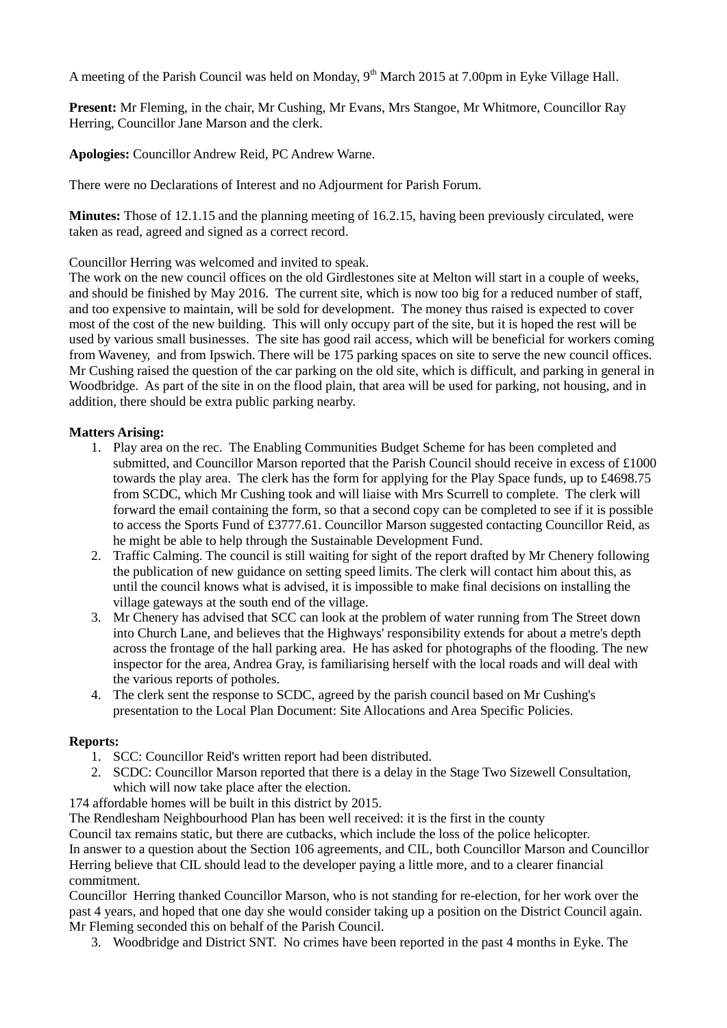A meeting of the Parish Council was held on Monday, 9<sup>th</sup> March 2015 at 7.00pm in Eyke Village Hall.

**Present:** Mr Fleming, in the chair, Mr Cushing, Mr Evans, Mrs Stangoe, Mr Whitmore, Councillor Ray Herring, Councillor Jane Marson and the clerk.

**Apologies:** Councillor Andrew Reid, PC Andrew Warne.

There were no Declarations of Interest and no Adjourment for Parish Forum.

**Minutes:** Those of 12.1.15 and the planning meeting of 16.2.15, having been previously circulated, were taken as read, agreed and signed as a correct record.

Councillor Herring was welcomed and invited to speak.

The work on the new council offices on the old Girdlestones site at Melton will start in a couple of weeks, and should be finished by May 2016. The current site, which is now too big for a reduced number of staff, and too expensive to maintain, will be sold for development. The money thus raised is expected to cover most of the cost of the new building. This will only occupy part of the site, but it is hoped the rest will be used by various small businesses. The site has good rail access, which will be beneficial for workers coming from Waveney, and from Ipswich. There will be 175 parking spaces on site to serve the new council offices. Mr Cushing raised the question of the car parking on the old site, which is difficult, and parking in general in Woodbridge. As part of the site in on the flood plain, that area will be used for parking, not housing, and in addition, there should be extra public parking nearby.

# **Matters Arising:**

- 1. Play area on the rec. The Enabling Communities Budget Scheme for has been completed and submitted, and Councillor Marson reported that the Parish Council should receive in excess of £1000 towards the play area. The clerk has the form for applying for the Play Space funds, up to £4698.75 from SCDC, which Mr Cushing took and will liaise with Mrs Scurrell to complete. The clerk will forward the email containing the form, so that a second copy can be completed to see if it is possible to access the Sports Fund of £3777.61. Councillor Marson suggested contacting Councillor Reid, as he might be able to help through the Sustainable Development Fund.
- 2. Traffic Calming. The council is still waiting for sight of the report drafted by Mr Chenery following the publication of new guidance on setting speed limits. The clerk will contact him about this, as until the council knows what is advised, it is impossible to make final decisions on installing the village gateways at the south end of the village.
- 3. Mr Chenery has advised that SCC can look at the problem of water running from The Street down into Church Lane, and believes that the Highways' responsibility extends for about a metre's depth across the frontage of the hall parking area. He has asked for photographs of the flooding. The new inspector for the area, Andrea Gray, is familiarising herself with the local roads and will deal with the various reports of potholes.
- 4. The clerk sent the response to SCDC, agreed by the parish council based on Mr Cushing's presentation to the Local Plan Document: Site Allocations and Area Specific Policies.

### **Reports:**

- 1. SCC: Councillor Reid's written report had been distributed.
- 2. SCDC: Councillor Marson reported that there is a delay in the Stage Two Sizewell Consultation, which will now take place after the election.

174 affordable homes will be built in this district by 2015.

The Rendlesham Neighbourhood Plan has been well received: it is the first in the county

Council tax remains static, but there are cutbacks, which include the loss of the police helicopter. In answer to a question about the Section 106 agreements, and CIL, both Councillor Marson and Councillor Herring believe that CIL should lead to the developer paying a little more, and to a clearer financial commitment.

Councillor Herring thanked Councillor Marson, who is not standing for re-election, for her work over the past 4 years, and hoped that one day she would consider taking up a position on the District Council again. Mr Fleming seconded this on behalf of the Parish Council.

3. Woodbridge and District SNT. No crimes have been reported in the past 4 months in Eyke. The